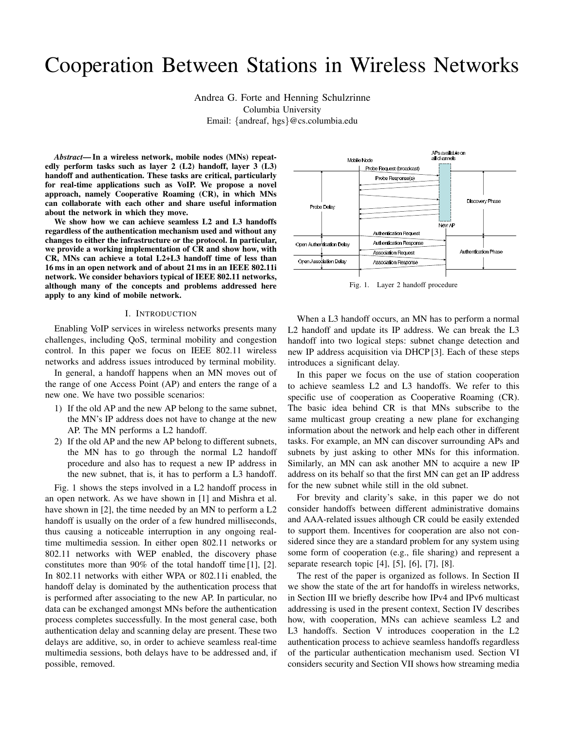# Cooperation Between Stations in Wireless Networks

Andrea G. Forte and Henning Schulzrinne Columbia University Email: {andreaf, hgs}@cs.columbia.edu

*Abstract*— In a wireless network, mobile nodes (MNs) repeatedly perform tasks such as layer 2 (L2) handoff, layer 3 (L3) handoff and authentication. These tasks are critical, particularly for real-time applications such as VoIP. We propose a novel approach, namely Cooperative Roaming (CR), in which MNs can collaborate with each other and share useful information about the network in which they move.

We show how we can achieve seamless L2 and L3 handoffs regardless of the authentication mechanism used and without any changes to either the infrastructure or the protocol. In particular, we provide a working implementation of CR and show how, with CR, MNs can achieve a total L2+L3 handoff time of less than 16 ms in an open network and of about 21 ms in an IEEE 802.11i network. We consider behaviors typical of IEEE 802.11 networks, although many of the concepts and problems addressed here apply to any kind of mobile network.

### I. INTRODUCTION

Enabling VoIP services in wireless networks presents many challenges, including QoS, terminal mobility and congestion control. In this paper we focus on IEEE 802.11 wireless networks and address issues introduced by terminal mobility.

In general, a handoff happens when an MN moves out of the range of one Access Point (AP) and enters the range of a new one. We have two possible scenarios:

- 1) If the old AP and the new AP belong to the same subnet, the MN's IP address does not have to change at the new AP. The MN performs a L2 handoff.
- 2) If the old AP and the new AP belong to different subnets, the MN has to go through the normal L2 handoff procedure and also has to request a new IP address in the new subnet, that is, it has to perform a L3 handoff.

Fig. 1 shows the steps involved in a L2 handoff process in an open network. As we have shown in [1] and Mishra et al. have shown in [2], the time needed by an MN to perform a L2 handoff is usually on the order of a few hundred milliseconds, thus causing a noticeable interruption in any ongoing realtime multimedia session. In either open 802.11 networks or 802.11 networks with WEP enabled, the discovery phase constitutes more than 90% of the total handoff time [1], [2]. In 802.11 networks with either WPA or 802.11i enabled, the handoff delay is dominated by the authentication process that is performed after associating to the new AP. In particular, no data can be exchanged amongst MNs before the authentication process completes successfully. In the most general case, both authentication delay and scanning delay are present. These two delays are additive, so, in order to achieve seamless real-time multimedia sessions, both delays have to be addressed and, if possible, removed.



Fig. 1. Layer 2 handoff procedure

When a L3 handoff occurs, an MN has to perform a normal L2 handoff and update its IP address. We can break the L3 handoff into two logical steps: subnet change detection and new IP address acquisition via DHCP [3]. Each of these steps introduces a significant delay.

In this paper we focus on the use of station cooperation to achieve seamless L2 and L3 handoffs. We refer to this specific use of cooperation as Cooperative Roaming (CR). The basic idea behind CR is that MNs subscribe to the same multicast group creating a new plane for exchanging information about the network and help each other in different tasks. For example, an MN can discover surrounding APs and subnets by just asking to other MNs for this information. Similarly, an MN can ask another MN to acquire a new IP address on its behalf so that the first MN can get an IP address for the new subnet while still in the old subnet.

For brevity and clarity's sake, in this paper we do not consider handoffs between different administrative domains and AAA-related issues although CR could be easily extended to support them. Incentives for cooperation are also not considered since they are a standard problem for any system using some form of cooperation (e.g., file sharing) and represent a separate research topic [4], [5], [6], [7], [8].

The rest of the paper is organized as follows. In Section II we show the state of the art for handoffs in wireless networks, in Section III we briefly describe how IPv4 and IPv6 multicast addressing is used in the present context, Section IV describes how, with cooperation, MNs can achieve seamless L2 and L3 handoffs. Section V introduces cooperation in the L2 authentication process to achieve seamless handoffs regardless of the particular authentication mechanism used. Section VI considers security and Section VII shows how streaming media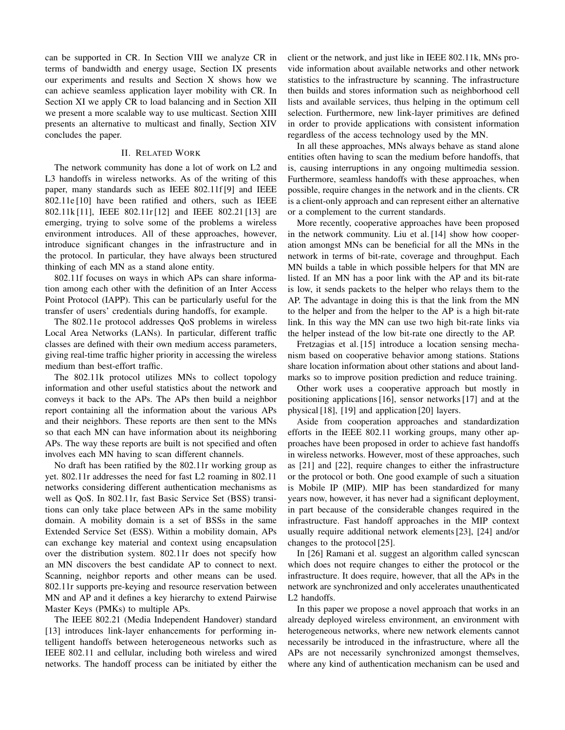can be supported in CR. In Section VIII we analyze CR in terms of bandwidth and energy usage, Section IX presents our experiments and results and Section X shows how we can achieve seamless application layer mobility with CR. In Section XI we apply CR to load balancing and in Section XII we present a more scalable way to use multicast. Section XIII presents an alternative to multicast and finally, Section XIV concludes the paper.

## II. RELATED WORK

The network community has done a lot of work on L2 and L3 handoffs in wireless networks. As of the writing of this paper, many standards such as IEEE 802.11f [9] and IEEE 802.11e [10] have been ratified and others, such as IEEE 802.11k [11], IEEE 802.11r [12] and IEEE 802.21 [13] are emerging, trying to solve some of the problems a wireless environment introduces. All of these approaches, however, introduce significant changes in the infrastructure and in the protocol. In particular, they have always been structured thinking of each MN as a stand alone entity.

802.11f focuses on ways in which APs can share information among each other with the definition of an Inter Access Point Protocol (IAPP). This can be particularly useful for the transfer of users' credentials during handoffs, for example.

The 802.11e protocol addresses QoS problems in wireless Local Area Networks (LANs). In particular, different traffic classes are defined with their own medium access parameters, giving real-time traffic higher priority in accessing the wireless medium than best-effort traffic.

The 802.11k protocol utilizes MNs to collect topology information and other useful statistics about the network and conveys it back to the APs. The APs then build a neighbor report containing all the information about the various APs and their neighbors. These reports are then sent to the MNs so that each MN can have information about its neighboring APs. The way these reports are built is not specified and often involves each MN having to scan different channels.

No draft has been ratified by the 802.11r working group as yet. 802.11r addresses the need for fast L2 roaming in 802.11 networks considering different authentication mechanisms as well as QoS. In 802.11r, fast Basic Service Set (BSS) transitions can only take place between APs in the same mobility domain. A mobility domain is a set of BSSs in the same Extended Service Set (ESS). Within a mobility domain, APs can exchange key material and context using encapsulation over the distribution system. 802.11r does not specify how an MN discovers the best candidate AP to connect to next. Scanning, neighbor reports and other means can be used. 802.11r supports pre-keying and resource reservation between MN and AP and it defines a key hierarchy to extend Pairwise Master Keys (PMKs) to multiple APs.

The IEEE 802.21 (Media Independent Handover) standard [13] introduces link-layer enhancements for performing intelligent handoffs between heterogeneous networks such as IEEE 802.11 and cellular, including both wireless and wired networks. The handoff process can be initiated by either the client or the network, and just like in IEEE 802.11k, MNs provide information about available networks and other network statistics to the infrastructure by scanning. The infrastructure then builds and stores information such as neighborhood cell lists and available services, thus helping in the optimum cell selection. Furthermore, new link-layer primitives are defined in order to provide applications with consistent information regardless of the access technology used by the MN.

In all these approaches, MNs always behave as stand alone entities often having to scan the medium before handoffs, that is, causing interruptions in any ongoing multimedia session. Furthermore, seamless handoffs with these approaches, when possible, require changes in the network and in the clients. CR is a client-only approach and can represent either an alternative or a complement to the current standards.

More recently, cooperative approaches have been proposed in the network community. Liu et al. [14] show how cooperation amongst MNs can be beneficial for all the MNs in the network in terms of bit-rate, coverage and throughput. Each MN builds a table in which possible helpers for that MN are listed. If an MN has a poor link with the AP and its bit-rate is low, it sends packets to the helper who relays them to the AP. The advantage in doing this is that the link from the MN to the helper and from the helper to the AP is a high bit-rate link. In this way the MN can use two high bit-rate links via the helper instead of the low bit-rate one directly to the AP.

Fretzagias et al. [15] introduce a location sensing mechanism based on cooperative behavior among stations. Stations share location information about other stations and about landmarks so to improve position prediction and reduce training.

Other work uses a cooperative approach but mostly in positioning applications [16], sensor networks [17] and at the physical [18], [19] and application [20] layers.

Aside from cooperation approaches and standardization efforts in the IEEE 802.11 working groups, many other approaches have been proposed in order to achieve fast handoffs in wireless networks. However, most of these approaches, such as [21] and [22], require changes to either the infrastructure or the protocol or both. One good example of such a situation is Mobile IP (MIP). MIP has been standardized for many years now, however, it has never had a significant deployment, in part because of the considerable changes required in the infrastructure. Fast handoff approaches in the MIP context usually require additional network elements [23], [24] and/or changes to the protocol [25].

In [26] Ramani et al. suggest an algorithm called syncscan which does not require changes to either the protocol or the infrastructure. It does require, however, that all the APs in the network are synchronized and only accelerates unauthenticated L2 handoffs.

In this paper we propose a novel approach that works in an already deployed wireless environment, an environment with heterogeneous networks, where new network elements cannot necessarily be introduced in the infrastructure, where all the APs are not necessarily synchronized amongst themselves, where any kind of authentication mechanism can be used and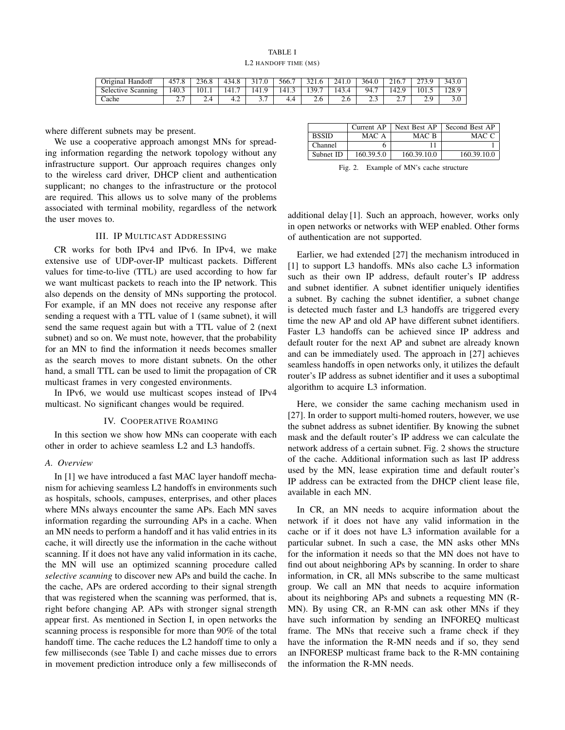|  | L2 HANDOFF TIME (MS) |  |  |
|--|----------------------|--|--|
|--|----------------------|--|--|

| Original Handoff       | 457          | 236.8 | 434.8 | 317<br>7.0 | 566.7 | 321.6 | 241.0 | 364.0 | 216.7    | 273.9     | 343.0 |
|------------------------|--------------|-------|-------|------------|-------|-------|-------|-------|----------|-----------|-------|
| Selective Scanning     | 140.3        | 101.1 | 141.  | 141.9      | 141.3 | 139.7 | 143.4 | 94.7  | 142.9    | 101.5     | 128.9 |
| $\sim$<br><b>Cache</b> | <u>، ، ،</u> | ∸-    | 4.2   | J.,        | 4.4   |       | 2.6   | ل ـ ـ | <u>.</u> | oο<br>4.5 | J.U   |

where different subnets may be present.

We use a cooperative approach amongst MNs for spreading information regarding the network topology without any infrastructure support. Our approach requires changes only to the wireless card driver, DHCP client and authentication supplicant; no changes to the infrastructure or the protocol are required. This allows us to solve many of the problems associated with terminal mobility, regardless of the network the user moves to.

#### III. IP MULTICAST ADDRESSING

CR works for both IPv4 and IPv6. In IPv4, we make extensive use of UDP-over-IP multicast packets. Different values for time-to-live (TTL) are used according to how far we want multicast packets to reach into the IP network. This also depends on the density of MNs supporting the protocol. For example, if an MN does not receive any response after sending a request with a TTL value of 1 (same subnet), it will send the same request again but with a TTL value of 2 (next subnet) and so on. We must note, however, that the probability for an MN to find the information it needs becomes smaller as the search moves to more distant subnets. On the other hand, a small TTL can be used to limit the propagation of CR multicast frames in very congested environments.

In IPv6, we would use multicast scopes instead of IPv4 multicast. No significant changes would be required.

#### IV. COOPERATIVE ROAMING

In this section we show how MNs can cooperate with each other in order to achieve seamless L2 and L3 handoffs.

## *A. Overview*

In [1] we have introduced a fast MAC layer handoff mechanism for achieving seamless L2 handoffs in environments such as hospitals, schools, campuses, enterprises, and other places where MNs always encounter the same APs. Each MN saves information regarding the surrounding APs in a cache. When an MN needs to perform a handoff and it has valid entries in its cache, it will directly use the information in the cache without scanning. If it does not have any valid information in its cache, the MN will use an optimized scanning procedure called *selective scanning* to discover new APs and build the cache. In the cache, APs are ordered according to their signal strength that was registered when the scanning was performed, that is, right before changing AP. APs with stronger signal strength appear first. As mentioned in Section I, in open networks the scanning process is responsible for more than 90% of the total handoff time. The cache reduces the L2 handoff time to only a few milliseconds (see Table I) and cache misses due to errors in movement prediction introduce only a few milliseconds of

|              | Current AP | Next Best AP | Second Best AP |
|--------------|------------|--------------|----------------|
| <b>BSSID</b> | MAC A      | MAC B        | MAC C          |
| Channel      |            |              |                |
| Subnet ID    | 160.39.5.0 | 160.39.10.0  | 160.39.10.0    |

Fig. 2. Example of MN's cache structure

additional delay [1]. Such an approach, however, works only in open networks or networks with WEP enabled. Other forms of authentication are not supported.

Earlier, we had extended [27] the mechanism introduced in [1] to support L3 handoffs. MNs also cache L3 information such as their own IP address, default router's IP address and subnet identifier. A subnet identifier uniquely identifies a subnet. By caching the subnet identifier, a subnet change is detected much faster and L3 handoffs are triggered every time the new AP and old AP have different subnet identifiers. Faster L3 handoffs can be achieved since IP address and default router for the next AP and subnet are already known and can be immediately used. The approach in [27] achieves seamless handoffs in open networks only, it utilizes the default router's IP address as subnet identifier and it uses a suboptimal algorithm to acquire L3 information.

Here, we consider the same caching mechanism used in [27]. In order to support multi-homed routers, however, we use the subnet address as subnet identifier. By knowing the subnet mask and the default router's IP address we can calculate the network address of a certain subnet. Fig. 2 shows the structure of the cache. Additional information such as last IP address used by the MN, lease expiration time and default router's IP address can be extracted from the DHCP client lease file, available in each MN.

In CR, an MN needs to acquire information about the network if it does not have any valid information in the cache or if it does not have L3 information available for a particular subnet. In such a case, the MN asks other MNs for the information it needs so that the MN does not have to find out about neighboring APs by scanning. In order to share information, in CR, all MNs subscribe to the same multicast group. We call an MN that needs to acquire information about its neighboring APs and subnets a requesting MN (R-MN). By using CR, an R-MN can ask other MNs if they have such information by sending an INFOREQ multicast frame. The MNs that receive such a frame check if they have the information the R-MN needs and if so, they send an INFORESP multicast frame back to the R-MN containing the information the R-MN needs.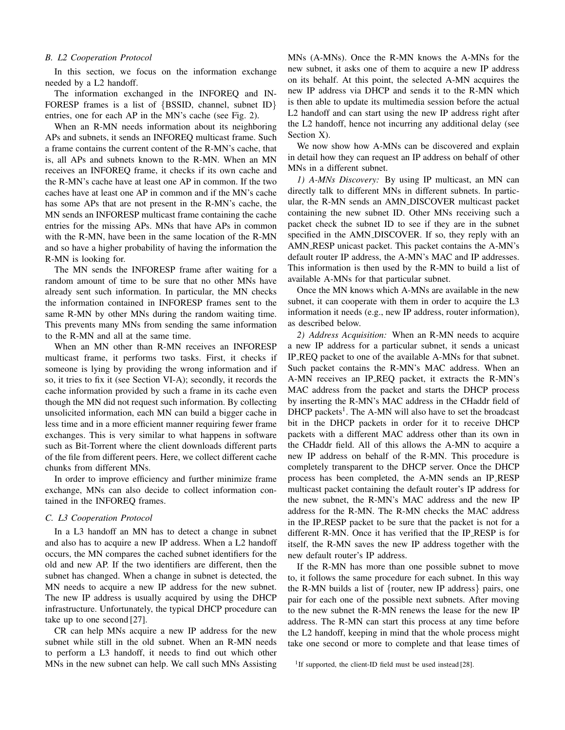#### *B. L2 Cooperation Protocol*

In this section, we focus on the information exchange needed by a L2 handoff.

The information exchanged in the INFOREQ and IN-FORESP frames is a list of {BSSID, channel, subnet ID} entries, one for each AP in the MN's cache (see Fig. 2).

When an R-MN needs information about its neighboring APs and subnets, it sends an INFOREQ multicast frame. Such a frame contains the current content of the R-MN's cache, that is, all APs and subnets known to the R-MN. When an MN receives an INFOREQ frame, it checks if its own cache and the R-MN's cache have at least one AP in common. If the two caches have at least one AP in common and if the MN's cache has some APs that are not present in the R-MN's cache, the MN sends an INFORESP multicast frame containing the cache entries for the missing APs. MNs that have APs in common with the R-MN, have been in the same location of the R-MN and so have a higher probability of having the information the R-MN is looking for.

The MN sends the INFORESP frame after waiting for a random amount of time to be sure that no other MNs have already sent such information. In particular, the MN checks the information contained in INFORESP frames sent to the same R-MN by other MNs during the random waiting time. This prevents many MNs from sending the same information to the R-MN and all at the same time.

When an MN other than R-MN receives an INFORESP multicast frame, it performs two tasks. First, it checks if someone is lying by providing the wrong information and if so, it tries to fix it (see Section VI-A); secondly, it records the cache information provided by such a frame in its cache even though the MN did not request such information. By collecting unsolicited information, each MN can build a bigger cache in less time and in a more efficient manner requiring fewer frame exchanges. This is very similar to what happens in software such as Bit-Torrent where the client downloads different parts of the file from different peers. Here, we collect different cache chunks from different MNs.

In order to improve efficiency and further minimize frame exchange, MNs can also decide to collect information contained in the INFOREQ frames.

## *C. L3 Cooperation Protocol*

In a L3 handoff an MN has to detect a change in subnet and also has to acquire a new IP address. When a L2 handoff occurs, the MN compares the cached subnet identifiers for the old and new AP. If the two identifiers are different, then the subnet has changed. When a change in subnet is detected, the MN needs to acquire a new IP address for the new subnet. The new IP address is usually acquired by using the DHCP infrastructure. Unfortunately, the typical DHCP procedure can take up to one second [27].

CR can help MNs acquire a new IP address for the new subnet while still in the old subnet. When an R-MN needs to perform a L3 handoff, it needs to find out which other MNs in the new subnet can help. We call such MNs Assisting MNs (A-MNs). Once the R-MN knows the A-MNs for the new subnet, it asks one of them to acquire a new IP address on its behalf. At this point, the selected A-MN acquires the new IP address via DHCP and sends it to the R-MN which is then able to update its multimedia session before the actual L<sub>2</sub> handoff and can start using the new IP address right after the L2 handoff, hence not incurring any additional delay (see Section X).

We now show how A-MNs can be discovered and explain in detail how they can request an IP address on behalf of other MNs in a different subnet.

*1) A-MNs Discovery:* By using IP multicast, an MN can directly talk to different MNs in different subnets. In particular, the R-MN sends an AMN DISCOVER multicast packet containing the new subnet ID. Other MNs receiving such a packet check the subnet ID to see if they are in the subnet specified in the AMN\_DISCOVER. If so, they reply with an AMN RESP unicast packet. This packet contains the A-MN's default router IP address, the A-MN's MAC and IP addresses. This information is then used by the R-MN to build a list of available A-MNs for that particular subnet.

Once the MN knows which A-MNs are available in the new subnet, it can cooperate with them in order to acquire the L3 information it needs (e.g., new IP address, router information), as described below.

*2) Address Acquisition:* When an R-MN needs to acquire a new IP address for a particular subnet, it sends a unicast IP REQ packet to one of the available A-MNs for that subnet. Such packet contains the R-MN's MAC address. When an A-MN receives an IP REQ packet, it extracts the R-MN's MAC address from the packet and starts the DHCP process by inserting the R-MN's MAC address in the CHaddr field of  $DHCP$  packets<sup>1</sup>. The A-MN will also have to set the broadcast bit in the DHCP packets in order for it to receive DHCP packets with a different MAC address other than its own in the CHaddr field. All of this allows the A-MN to acquire a new IP address on behalf of the R-MN. This procedure is completely transparent to the DHCP server. Once the DHCP process has been completed, the A-MN sends an IP RESP multicast packet containing the default router's IP address for the new subnet, the R-MN's MAC address and the new IP address for the R-MN. The R-MN checks the MAC address in the IP RESP packet to be sure that the packet is not for a different R-MN. Once it has verified that the IP RESP is for itself, the R-MN saves the new IP address together with the new default router's IP address.

If the R-MN has more than one possible subnet to move to, it follows the same procedure for each subnet. In this way the R-MN builds a list of {router, new IP address} pairs, one pair for each one of the possible next subnets. After moving to the new subnet the R-MN renews the lease for the new IP address. The R-MN can start this process at any time before the L2 handoff, keeping in mind that the whole process might take one second or more to complete and that lease times of

<sup>&</sup>lt;sup>1</sup>If supported, the client-ID field must be used instead [28].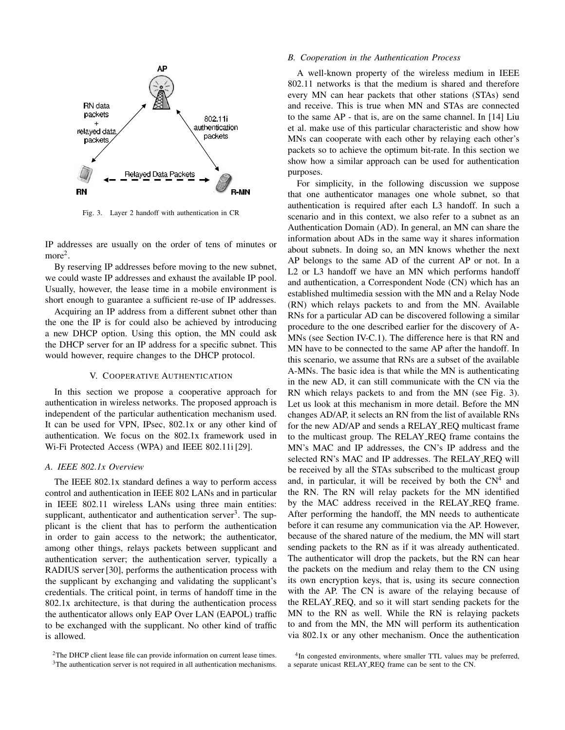

Fig. 3. Layer 2 handoff with authentication in CR

IP addresses are usually on the order of tens of minutes or more<sup>2</sup>.

By reserving IP addresses before moving to the new subnet, we could waste IP addresses and exhaust the available IP pool. Usually, however, the lease time in a mobile environment is short enough to guarantee a sufficient re-use of IP addresses.

Acquiring an IP address from a different subnet other than the one the IP is for could also be achieved by introducing a new DHCP option. Using this option, the MN could ask the DHCP server for an IP address for a specific subnet. This would however, require changes to the DHCP protocol.

#### V. COOPERATIVE AUTHENTICATION

In this section we propose a cooperative approach for authentication in wireless networks. The proposed approach is independent of the particular authentication mechanism used. It can be used for VPN, IPsec, 802.1x or any other kind of authentication. We focus on the 802.1x framework used in Wi-Fi Protected Access (WPA) and IEEE 802.11i [29].

## *A. IEEE 802.1x Overview*

The IEEE 802.1x standard defines a way to perform access control and authentication in IEEE 802 LANs and in particular in IEEE 802.11 wireless LANs using three main entities: supplicant, authenticator and authentication server<sup>3</sup>. The supplicant is the client that has to perform the authentication in order to gain access to the network; the authenticator, among other things, relays packets between supplicant and authentication server; the authentication server, typically a RADIUS server [30], performs the authentication process with the supplicant by exchanging and validating the supplicant's credentials. The critical point, in terms of handoff time in the 802.1x architecture, is that during the authentication process the authenticator allows only EAP Over LAN (EAPOL) traffic to be exchanged with the supplicant. No other kind of traffic is allowed.

#### *B. Cooperation in the Authentication Process*

A well-known property of the wireless medium in IEEE 802.11 networks is that the medium is shared and therefore every MN can hear packets that other stations (STAs) send and receive. This is true when MN and STAs are connected to the same AP - that is, are on the same channel. In [14] Liu et al. make use of this particular characteristic and show how MNs can cooperate with each other by relaying each other's packets so to achieve the optimum bit-rate. In this section we show how a similar approach can be used for authentication purposes.

For simplicity, in the following discussion we suppose that one authenticator manages one whole subnet, so that authentication is required after each L3 handoff. In such a scenario and in this context, we also refer to a subnet as an Authentication Domain (AD). In general, an MN can share the information about ADs in the same way it shares information about subnets. In doing so, an MN knows whether the next AP belongs to the same AD of the current AP or not. In a L2 or L3 handoff we have an MN which performs handoff and authentication, a Correspondent Node (CN) which has an established multimedia session with the MN and a Relay Node (RN) which relays packets to and from the MN. Available RNs for a particular AD can be discovered following a similar procedure to the one described earlier for the discovery of A-MNs (see Section IV-C.1). The difference here is that RN and MN have to be connected to the same AP after the handoff. In this scenario, we assume that RNs are a subset of the available A-MNs. The basic idea is that while the MN is authenticating in the new AD, it can still communicate with the CN via the RN which relays packets to and from the MN (see Fig. 3). Let us look at this mechanism in more detail. Before the MN changes AD/AP, it selects an RN from the list of available RNs for the new AD/AP and sends a RELAY REQ multicast frame to the multicast group. The RELAY REQ frame contains the MN's MAC and IP addresses, the CN's IP address and the selected RN's MAC and IP addresses. The RELAY\_REQ will be received by all the STAs subscribed to the multicast group and, in particular, it will be received by both the  $CN<sup>4</sup>$  and the RN. The RN will relay packets for the MN identified by the MAC address received in the RELAY REQ frame. After performing the handoff, the MN needs to authenticate before it can resume any communication via the AP. However, because of the shared nature of the medium, the MN will start sending packets to the RN as if it was already authenticated. The authenticator will drop the packets, but the RN can hear the packets on the medium and relay them to the CN using its own encryption keys, that is, using its secure connection with the AP. The CN is aware of the relaying because of the RELAY REQ, and so it will start sending packets for the MN to the RN as well. While the RN is relaying packets to and from the MN, the MN will perform its authentication via 802.1x or any other mechanism. Once the authentication

<sup>2</sup>The DHCP client lease file can provide information on current lease times.  $3$ The authentication server is not required in all authentication mechanisms.

<sup>&</sup>lt;sup>4</sup>In congested environments, where smaller TTL values may be preferred, a separate unicast RELAY REQ frame can be sent to the CN.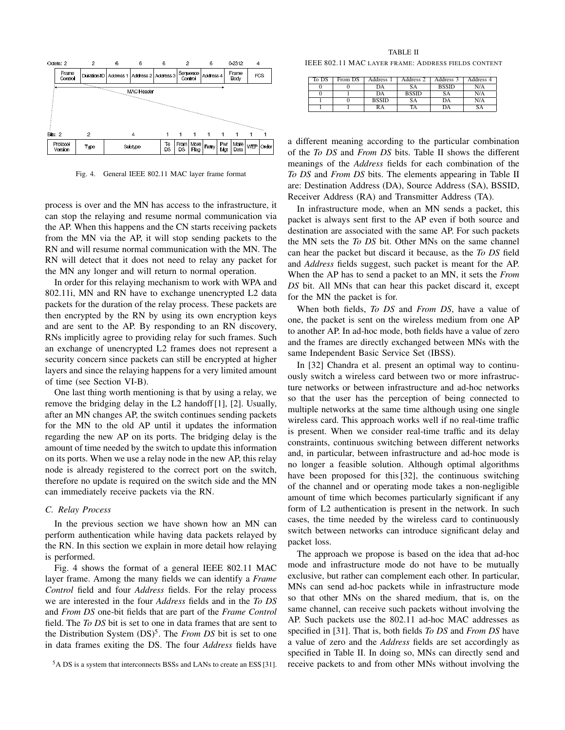

Fig. 4. General IEEE 802.11 MAC layer frame format

process is over and the MN has access to the infrastructure, it can stop the relaying and resume normal communication via the AP. When this happens and the CN starts receiving packets from the MN via the AP, it will stop sending packets to the RN and will resume normal communication with the MN. The RN will detect that it does not need to relay any packet for the MN any longer and will return to normal operation.

In order for this relaying mechanism to work with WPA and 802.11i, MN and RN have to exchange unencrypted L2 data packets for the duration of the relay process. These packets are then encrypted by the RN by using its own encryption keys and are sent to the AP. By responding to an RN discovery, RNs implicitly agree to providing relay for such frames. Such an exchange of unencrypted L2 frames does not represent a security concern since packets can still be encrypted at higher layers and since the relaying happens for a very limited amount of time (see Section VI-B).

One last thing worth mentioning is that by using a relay, we remove the bridging delay in the L2 handoff [1], [2]. Usually, after an MN changes AP, the switch continues sending packets for the MN to the old AP until it updates the information regarding the new AP on its ports. The bridging delay is the amount of time needed by the switch to update this information on its ports. When we use a relay node in the new AP, this relay node is already registered to the correct port on the switch, therefore no update is required on the switch side and the MN can immediately receive packets via the RN.

#### *C. Relay Process*

In the previous section we have shown how an MN can perform authentication while having data packets relayed by the RN. In this section we explain in more detail how relaying is performed.

Fig. 4 shows the format of a general IEEE 802.11 MAC layer frame. Among the many fields we can identify a *Frame Control* field and four *Address* fields. For the relay process we are interested in the four *Address* fields and in the *To DS* and *From DS* one-bit fields that are part of the *Frame Control* field. The *To DS* bit is set to one in data frames that are sent to the Distribution System (DS)<sup>5</sup>. The *From DS* bit is set to one in data frames exiting the DS. The four *Address* fields have

TABLE II IEEE 802.11 MAC LAYER FRAME: ADDRESS FIELDS CONTENT

| To DS | From DS | Address 1    | Address 2    | Address 3    | Address 4 |
|-------|---------|--------------|--------------|--------------|-----------|
|       |         | DA           |              | <b>BSSID</b> | N/A       |
|       |         | DA           | <b>BSSID</b> |              | N/A       |
|       |         | <b>BSSID</b> |              | DА           | N/A       |
|       |         | RA           | ГA           | DА           |           |

a different meaning according to the particular combination of the *To DS* and *From DS* bits. Table II shows the different meanings of the *Address* fields for each combination of the *To DS* and *From DS* bits. The elements appearing in Table II are: Destination Address (DA), Source Address (SA), BSSID, Receiver Address (RA) and Transmitter Address (TA).

In infrastructure mode, when an MN sends a packet, this packet is always sent first to the AP even if both source and destination are associated with the same AP. For such packets the MN sets the *To DS* bit. Other MNs on the same channel can hear the packet but discard it because, as the *To DS* field and *Address* fields suggest, such packet is meant for the AP. When the AP has to send a packet to an MN, it sets the *From DS* bit. All MNs that can hear this packet discard it, except for the MN the packet is for.

When both fields, *To DS* and *From DS*, have a value of one, the packet is sent on the wireless medium from one AP to another AP. In ad-hoc mode, both fields have a value of zero and the frames are directly exchanged between MNs with the same Independent Basic Service Set (IBSS).

In [32] Chandra et al. present an optimal way to continuously switch a wireless card between two or more infrastructure networks or between infrastructure and ad-hoc networks so that the user has the perception of being connected to multiple networks at the same time although using one single wireless card. This approach works well if no real-time traffic is present. When we consider real-time traffic and its delay constraints, continuous switching between different networks and, in particular, between infrastructure and ad-hoc mode is no longer a feasible solution. Although optimal algorithms have been proposed for this [32], the continuous switching of the channel and or operating mode takes a non-negligible amount of time which becomes particularly significant if any form of L2 authentication is present in the network. In such cases, the time needed by the wireless card to continuously switch between networks can introduce significant delay and packet loss.

The approach we propose is based on the idea that ad-hoc mode and infrastructure mode do not have to be mutually exclusive, but rather can complement each other. In particular, MNs can send ad-hoc packets while in infrastructure mode so that other MNs on the shared medium, that is, on the same channel, can receive such packets without involving the AP. Such packets use the 802.11 ad-hoc MAC addresses as specified in [31]. That is, both fields *To DS* and *From DS* have a value of zero and the *Address* fields are set accordingly as specified in Table II. In doing so, MNs can directly send and receive packets to and from other MNs without involving the

<sup>5</sup>A DS is a system that interconnects BSSs and LANs to create an ESS [31].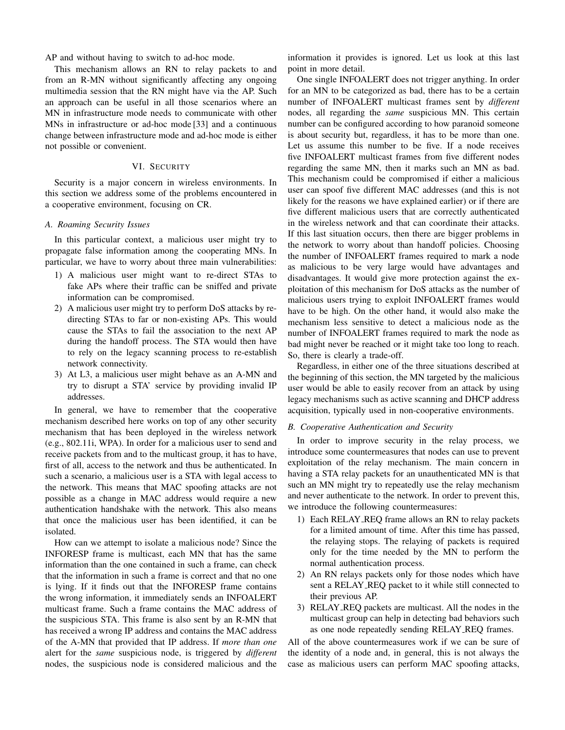AP and without having to switch to ad-hoc mode.

This mechanism allows an RN to relay packets to and from an R-MN without significantly affecting any ongoing multimedia session that the RN might have via the AP. Such an approach can be useful in all those scenarios where an MN in infrastructure mode needs to communicate with other MNs in infrastructure or ad-hoc mode [33] and a continuous change between infrastructure mode and ad-hoc mode is either not possible or convenient.

## VI. SECURITY

Security is a major concern in wireless environments. In this section we address some of the problems encountered in a cooperative environment, focusing on CR.

## *A. Roaming Security Issues*

In this particular context, a malicious user might try to propagate false information among the cooperating MNs. In particular, we have to worry about three main vulnerabilities:

- 1) A malicious user might want to re-direct STAs to fake APs where their traffic can be sniffed and private information can be compromised.
- 2) A malicious user might try to perform DoS attacks by redirecting STAs to far or non-existing APs. This would cause the STAs to fail the association to the next AP during the handoff process. The STA would then have to rely on the legacy scanning process to re-establish network connectivity.
- 3) At L3, a malicious user might behave as an A-MN and try to disrupt a STA' service by providing invalid IP addresses.

In general, we have to remember that the cooperative mechanism described here works on top of any other security mechanism that has been deployed in the wireless network (e.g., 802.11i, WPA). In order for a malicious user to send and receive packets from and to the multicast group, it has to have, first of all, access to the network and thus be authenticated. In such a scenario, a malicious user is a STA with legal access to the network. This means that MAC spoofing attacks are not possible as a change in MAC address would require a new authentication handshake with the network. This also means that once the malicious user has been identified, it can be isolated.

How can we attempt to isolate a malicious node? Since the INFORESP frame is multicast, each MN that has the same information than the one contained in such a frame, can check that the information in such a frame is correct and that no one is lying. If it finds out that the INFORESP frame contains the wrong information, it immediately sends an INFOALERT multicast frame. Such a frame contains the MAC address of the suspicious STA. This frame is also sent by an R-MN that has received a wrong IP address and contains the MAC address of the A-MN that provided that IP address. If *more than one* alert for the *same* suspicious node, is triggered by *different* nodes, the suspicious node is considered malicious and the

information it provides is ignored. Let us look at this last point in more detail.

One single INFOALERT does not trigger anything. In order for an MN to be categorized as bad, there has to be a certain number of INFOALERT multicast frames sent by *different* nodes, all regarding the *same* suspicious MN. This certain number can be configured according to how paranoid someone is about security but, regardless, it has to be more than one. Let us assume this number to be five. If a node receives five INFOALERT multicast frames from five different nodes regarding the same MN, then it marks such an MN as bad. This mechanism could be compromised if either a malicious user can spoof five different MAC addresses (and this is not likely for the reasons we have explained earlier) or if there are five different malicious users that are correctly authenticated in the wireless network and that can coordinate their attacks. If this last situation occurs, then there are bigger problems in the network to worry about than handoff policies. Choosing the number of INFOALERT frames required to mark a node as malicious to be very large would have advantages and disadvantages. It would give more protection against the exploitation of this mechanism for DoS attacks as the number of malicious users trying to exploit INFOALERT frames would have to be high. On the other hand, it would also make the mechanism less sensitive to detect a malicious node as the number of INFOALERT frames required to mark the node as bad might never be reached or it might take too long to reach. So, there is clearly a trade-off.

Regardless, in either one of the three situations described at the beginning of this section, the MN targeted by the malicious user would be able to easily recover from an attack by using legacy mechanisms such as active scanning and DHCP address acquisition, typically used in non-cooperative environments.

## *B. Cooperative Authentication and Security*

In order to improve security in the relay process, we introduce some countermeasures that nodes can use to prevent exploitation of the relay mechanism. The main concern in having a STA relay packets for an unauthenticated MN is that such an MN might try to repeatedly use the relay mechanism and never authenticate to the network. In order to prevent this, we introduce the following countermeasures:

- 1) Each RELAY REQ frame allows an RN to relay packets for a limited amount of time. After this time has passed, the relaying stops. The relaying of packets is required only for the time needed by the MN to perform the normal authentication process.
- 2) An RN relays packets only for those nodes which have sent a RELAY REQ packet to it while still connected to their previous AP.
- 3) RELAY REQ packets are multicast. All the nodes in the multicast group can help in detecting bad behaviors such as one node repeatedly sending RELAY REQ frames.

All of the above countermeasures work if we can be sure of the identity of a node and, in general, this is not always the case as malicious users can perform MAC spoofing attacks,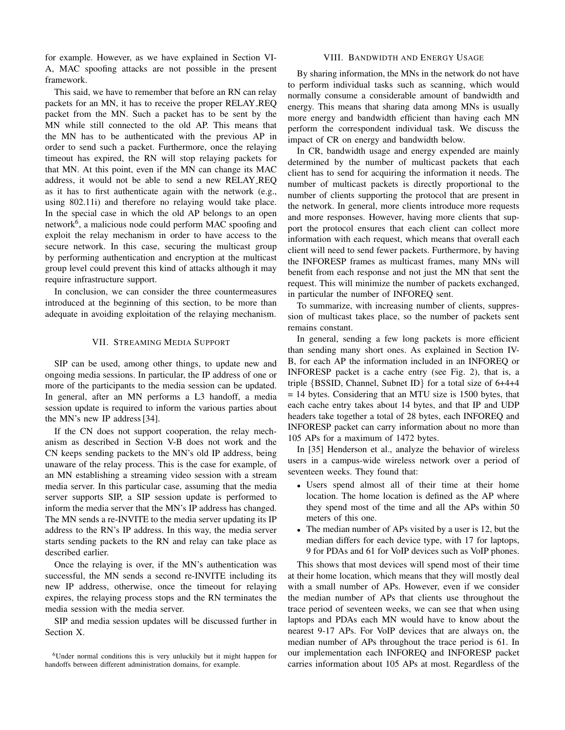for example. However, as we have explained in Section VI-A, MAC spoofing attacks are not possible in the present framework.

This said, we have to remember that before an RN can relay packets for an MN, it has to receive the proper RELAY REQ packet from the MN. Such a packet has to be sent by the MN while still connected to the old AP. This means that the MN has to be authenticated with the previous AP in order to send such a packet. Furthermore, once the relaying timeout has expired, the RN will stop relaying packets for that MN. At this point, even if the MN can change its MAC address, it would not be able to send a new RELAY REQ as it has to first authenticate again with the network (e.g., using 802.11i) and therefore no relaying would take place. In the special case in which the old AP belongs to an open network<sup>6</sup>, a malicious node could perform MAC spoofing and exploit the relay mechanism in order to have access to the secure network. In this case, securing the multicast group by performing authentication and encryption at the multicast group level could prevent this kind of attacks although it may require infrastructure support.

In conclusion, we can consider the three countermeasures introduced at the beginning of this section, to be more than adequate in avoiding exploitation of the relaying mechanism.

## VII. STREAMING MEDIA SUPPORT

SIP can be used, among other things, to update new and ongoing media sessions. In particular, the IP address of one or more of the participants to the media session can be updated. In general, after an MN performs a L3 handoff, a media session update is required to inform the various parties about the MN's new IP address [34].

If the CN does not support cooperation, the relay mechanism as described in Section V-B does not work and the CN keeps sending packets to the MN's old IP address, being unaware of the relay process. This is the case for example, of an MN establishing a streaming video session with a stream media server. In this particular case, assuming that the media server supports SIP, a SIP session update is performed to inform the media server that the MN's IP address has changed. The MN sends a re-INVITE to the media server updating its IP address to the RN's IP address. In this way, the media server starts sending packets to the RN and relay can take place as described earlier.

Once the relaying is over, if the MN's authentication was successful, the MN sends a second re-INVITE including its new IP address, otherwise, once the timeout for relaying expires, the relaying process stops and the RN terminates the media session with the media server.

SIP and media session updates will be discussed further in Section X.

#### VIII. BANDWIDTH AND ENERGY USAGE

By sharing information, the MNs in the network do not have to perform individual tasks such as scanning, which would normally consume a considerable amount of bandwidth and energy. This means that sharing data among MNs is usually more energy and bandwidth efficient than having each MN perform the correspondent individual task. We discuss the impact of CR on energy and bandwidth below.

In CR, bandwidth usage and energy expended are mainly determined by the number of multicast packets that each client has to send for acquiring the information it needs. The number of multicast packets is directly proportional to the number of clients supporting the protocol that are present in the network. In general, more clients introduce more requests and more responses. However, having more clients that support the protocol ensures that each client can collect more information with each request, which means that overall each client will need to send fewer packets. Furthermore, by having the INFORESP frames as multicast frames, many MNs will benefit from each response and not just the MN that sent the request. This will minimize the number of packets exchanged, in particular the number of INFOREQ sent.

To summarize, with increasing number of clients, suppression of multicast takes place, so the number of packets sent remains constant.

In general, sending a few long packets is more efficient than sending many short ones. As explained in Section IV-B, for each AP the information included in an INFOREQ or INFORESP packet is a cache entry (see Fig. 2), that is, a triple {BSSID, Channel, Subnet ID} for a total size of 6+4+4 = 14 bytes. Considering that an MTU size is 1500 bytes, that each cache entry takes about 14 bytes, and that IP and UDP headers take together a total of 28 bytes, each INFOREQ and INFORESP packet can carry information about no more than 105 APs for a maximum of 1472 bytes.

In [35] Henderson et al., analyze the behavior of wireless users in a campus-wide wireless network over a period of seventeen weeks. They found that:

- Users spend almost all of their time at their home location. The home location is defined as the AP where they spend most of the time and all the APs within 50 meters of this one.
- The median number of APs visited by a user is 12, but the median differs for each device type, with 17 for laptops, 9 for PDAs and 61 for VoIP devices such as VoIP phones.

This shows that most devices will spend most of their time at their home location, which means that they will mostly deal with a small number of APs. However, even if we consider the median number of APs that clients use throughout the trace period of seventeen weeks, we can see that when using laptops and PDAs each MN would have to know about the nearest 9-17 APs. For VoIP devices that are always on, the median number of APs throughout the trace period is 61. In our implementation each INFOREQ and INFORESP packet carries information about 105 APs at most. Regardless of the

<sup>&</sup>lt;sup>6</sup>Under normal conditions this is very unluckily but it might happen for handoffs between different administration domains, for example.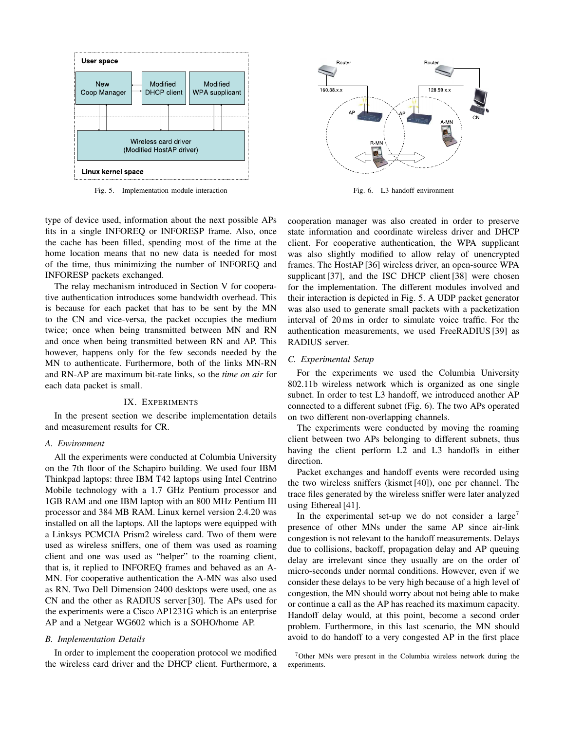

Fig. 5. Implementation module interaction

type of device used, information about the next possible APs fits in a single INFOREQ or INFORESP frame. Also, once the cache has been filled, spending most of the time at the home location means that no new data is needed for most of the time, thus minimizing the number of INFOREQ and INFORESP packets exchanged.

The relay mechanism introduced in Section V for cooperative authentication introduces some bandwidth overhead. This is because for each packet that has to be sent by the MN to the CN and vice-versa, the packet occupies the medium twice; once when being transmitted between MN and RN and once when being transmitted between RN and AP. This however, happens only for the few seconds needed by the MN to authenticate. Furthermore, both of the links MN-RN and RN-AP are maximum bit-rate links, so the *time on air* for each data packet is small.

## IX. EXPERIMENTS

In the present section we describe implementation details and measurement results for CR.

#### *A. Environment*

All the experiments were conducted at Columbia University on the 7th floor of the Schapiro building. We used four IBM Thinkpad laptops: three IBM T42 laptops using Intel Centrino Mobile technology with a 1.7 GHz Pentium processor and 1GB RAM and one IBM laptop with an 800 MHz Pentium III processor and 384 MB RAM. Linux kernel version 2.4.20 was installed on all the laptops. All the laptops were equipped with a Linksys PCMCIA Prism2 wireless card. Two of them were used as wireless sniffers, one of them was used as roaming client and one was used as "helper" to the roaming client, that is, it replied to INFOREQ frames and behaved as an A-MN. For cooperative authentication the A-MN was also used as RN. Two Dell Dimension 2400 desktops were used, one as CN and the other as RADIUS server [30]. The APs used for the experiments were a Cisco AP1231G which is an enterprise AP and a Netgear WG602 which is a SOHO/home AP.

#### *B. Implementation Details*

In order to implement the cooperation protocol we modified the wireless card driver and the DHCP client. Furthermore, a



Fig. 6. L3 handoff environment

cooperation manager was also created in order to preserve state information and coordinate wireless driver and DHCP client. For cooperative authentication, the WPA supplicant was also slightly modified to allow relay of unencrypted frames. The HostAP [36] wireless driver, an open-source WPA supplicant [37], and the ISC DHCP client [38] were chosen for the implementation. The different modules involved and their interaction is depicted in Fig. 5. A UDP packet generator was also used to generate small packets with a packetization interval of 20 ms in order to simulate voice traffic. For the authentication measurements, we used FreeRADIUS [39] as RADIUS server.

#### *C. Experimental Setup*

For the experiments we used the Columbia University 802.11b wireless network which is organized as one single subnet. In order to test L3 handoff, we introduced another AP connected to a different subnet (Fig. 6). The two APs operated on two different non-overlapping channels.

The experiments were conducted by moving the roaming client between two APs belonging to different subnets, thus having the client perform L2 and L3 handoffs in either direction.

Packet exchanges and handoff events were recorded using the two wireless sniffers (kismet [40]), one per channel. The trace files generated by the wireless sniffer were later analyzed using Ethereal [41].

In the experimental set-up we do not consider a large<sup>7</sup> presence of other MNs under the same AP since air-link congestion is not relevant to the handoff measurements. Delays due to collisions, backoff, propagation delay and AP queuing delay are irrelevant since they usually are on the order of micro-seconds under normal conditions. However, even if we consider these delays to be very high because of a high level of congestion, the MN should worry about not being able to make or continue a call as the AP has reached its maximum capacity. Handoff delay would, at this point, become a second order problem. Furthermore, in this last scenario, the MN should avoid to do handoff to a very congested AP in the first place

 $7$ Other MNs were present in the Columbia wireless network during the experiments.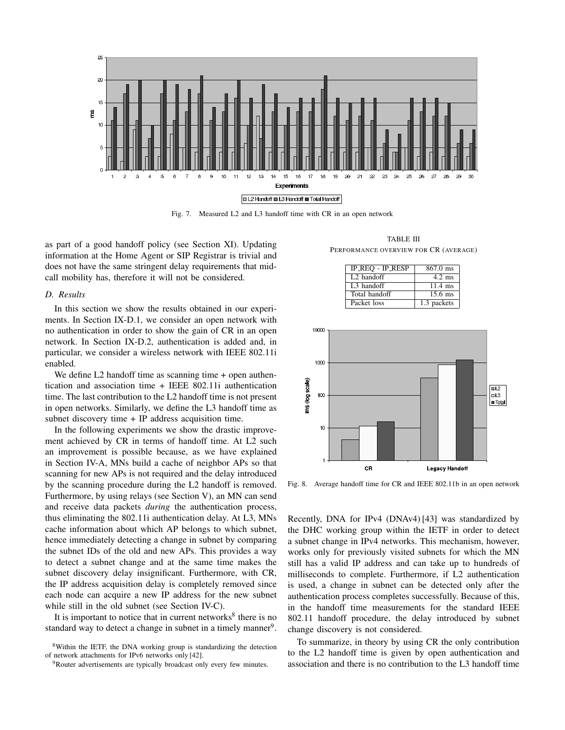

Fig. 7. Measured L2 and L3 handoff time with CR in an open network

as part of a good handoff policy (see Section XI). Updating information at the Home Agent or SIP Registrar is trivial and does not have the same stringent delay requirements that midcall mobility has, therefore it will not be considered.

## *D. Results*

In this section we show the results obtained in our experiments. In Section IX-D.1, we consider an open network with no authentication in order to show the gain of CR in an open network. In Section IX-D.2, authentication is added and, in particular, we consider a wireless network with IEEE 802.11i enabled.

We define L2 handoff time as scanning time + open authentication and association time + IEEE 802.11i authentication time. The last contribution to the L2 handoff time is not present in open networks. Similarly, we define the L3 handoff time as subnet discovery time + IP address acquisition time.

In the following experiments we show the drastic improvement achieved by CR in terms of handoff time. At L2 such an improvement is possible because, as we have explained in Section IV-A, MNs build a cache of neighbor APs so that scanning for new APs is not required and the delay introduced by the scanning procedure during the L2 handoff is removed. Furthermore, by using relays (see Section V), an MN can send and receive data packets *during* the authentication process, thus eliminating the 802.11i authentication delay. At L3, MNs cache information about which AP belongs to which subnet, hence immediately detecting a change in subnet by comparing the subnet IDs of the old and new APs. This provides a way to detect a subnet change and at the same time makes the subnet discovery delay insignificant. Furthermore, with CR, the IP address acquisition delay is completely removed since each node can acquire a new IP address for the new subnet while still in the old subnet (see Section IV-C).

It is important to notice that in current networks<sup>8</sup> there is no standard way to detect a change in subnet in a timely manner<sup>9</sup>.

TABLE III

PERFORMANCE OVERVIEW FOR CR (AVERAGE)

| <b>IP_REO - IP_RESP</b> | $867.0$ ms        |
|-------------------------|-------------------|
| $1.2$ handoff           | $4.2 \text{ ms}$  |
| L <sub>3</sub> handoff  | $11.4$ ms         |
| Total handoff           | $15.6 \text{ ms}$ |
| Packet loss             | 1.3 packets       |



Fig. 8. Average handoff time for CR and IEEE 802.11b in an open network

Recently, DNA for IPv4 (DNAv4) [43] was standardized by the DHC working group within the IETF in order to detect a subnet change in IPv4 networks. This mechanism, however, works only for previously visited subnets for which the MN still has a valid IP address and can take up to hundreds of milliseconds to complete. Furthermore, if L2 authentication is used, a change in subnet can be detected only after the authentication process completes successfully. Because of this, in the handoff time measurements for the standard IEEE 802.11 handoff procedure, the delay introduced by subnet change discovery is not considered.

To summarize, in theory by using CR the only contribution to the L2 handoff time is given by open authentication and association and there is no contribution to the L3 handoff time

<sup>8</sup>Within the IETF, the DNA working group is standardizing the detection of network attachments for IPv6 networks only [42].

<sup>&</sup>lt;sup>9</sup>Router advertisements are typically broadcast only every few minutes.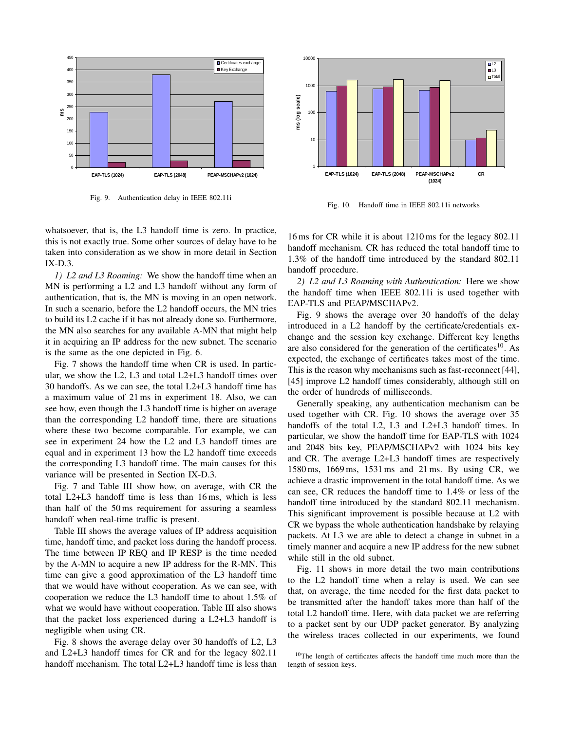

Fig. 9. Authentication delay in IEEE 802.11i



Fig. 10. Handoff time in IEEE 802.11i networks

whatsoever, that is, the L3 handoff time is zero. In practice, this is not exactly true. Some other sources of delay have to be taken into consideration as we show in more detail in Section IX-D.3.

*1) L2 and L3 Roaming:* We show the handoff time when an MN is performing a L2 and L3 handoff without any form of authentication, that is, the MN is moving in an open network. In such a scenario, before the L2 handoff occurs, the MN tries to build its L2 cache if it has not already done so. Furthermore, the MN also searches for any available A-MN that might help it in acquiring an IP address for the new subnet. The scenario is the same as the one depicted in Fig. 6.

Fig. 7 shows the handoff time when CR is used. In particular, we show the L2, L3 and total L2+L3 handoff times over 30 handoffs. As we can see, the total L2+L3 handoff time has a maximum value of 21 ms in experiment 18. Also, we can see how, even though the L3 handoff time is higher on average than the corresponding L2 handoff time, there are situations where these two become comparable. For example, we can see in experiment 24 how the L2 and L3 handoff times are equal and in experiment 13 how the L2 handoff time exceeds the corresponding L3 handoff time. The main causes for this variance will be presented in Section IX-D.3. **EXERCT 12.1 EXERCT**<br> **EXERCT THANDOFF THE CALC TRANSFER CALC TRANSFER CALC TRANSFER CALC TRANSFER CALC TRANSFER CALC TRANSFER CALC TRANSFER CALC TRANSFER THANDOFF THANDOFF THANDOFF THANDOFF THANDOFF THANDOFF THANDOFF T** 

Fig. 7 and Table III show how, on average, with CR the total L2+L3 handoff time is less than 16 ms, which is less than half of the 50 ms requirement for assuring a seamless handoff when real-time traffic is present.

Table III shows the average values of IP address acquisition time, handoff time, and packet loss during the handoff process. The time between IP REQ and IP RESP is the time needed by the A-MN to acquire a new IP address for the R-MN. This time can give a good approximation of the L3 handoff time that we would have without cooperation. As we can see, with cooperation we reduce the L3 handoff time to about 1.5% of what we would have without cooperation. Table III also shows that the packet loss experienced during a L2+L3 handoff is negligible when using CR.

Fig. 8 shows the average delay over 30 handoffs of L2, L3 and L2+L3 handoff times for CR and for the legacy 802.11

16 ms for CR while it is about 1210 ms for the legacy 802.11 handoff mechanism. CR has reduced the total handoff time to 1.3% of the handoff time introduced by the standard 802.11 handoff procedure.

*2) L2 and L3 Roaming with Authentication:* Here we show the handoff time when IEEE 802.11i is used together with EAP-TLS and PEAP/MSCHAPv2.

Fig. 9 shows the average over 30 handoffs of the delay introduced in a L2 handoff by the certificate/credentials exchange and the session key exchange. Different key lengths are also considered for the generation of the certificates<sup>10</sup>. As expected, the exchange of certificates takes most of the time. This is the reason why mechanisms such as fast-reconnect [44], [45] improve L2 handoff times considerably, although still on the order of hundreds of milliseconds.

Generally speaking, any authentication mechanism can be used together with CR. Fig. 10 shows the average over 35 handoffs of the total L2, L3 and L2+L3 handoff times. In particular, we show the handoff time for EAP-TLS with 1024 and 2048 bits key, PEAP/MSCHAPv2 with 1024 bits key and CR. The average L2+L3 handoff times are respectively 1580 ms, 1669 ms, 1531 ms and 21 ms. By using CR, we achieve a drastic improvement in the total handoff time. As we can see, CR reduces the handoff time to 1.4% or less of the handoff time introduced by the standard 802.11 mechanism. This significant improvement is possible because at L2 with CR we bypass the whole authentication handshake by relaying packets. At L3 we are able to detect a change in subnet in a timely manner and acquire a new IP address for the new subnet while still in the old subnet.

Fig. 11 shows in more detail the two main contributions to the L2 handoff time when a relay is used. We can see that, on average, the time needed for the first data packet to be transmitted after the handoff takes more than half of the total L2 handoff time. Here, with data packet we are referring to a packet sent by our UDP packet generator. By analyzing the wireless traces collected in our experiments, we found

<sup>&</sup>lt;sup>10</sup>The length of certificates affects the handoff time much more than the length of session keys.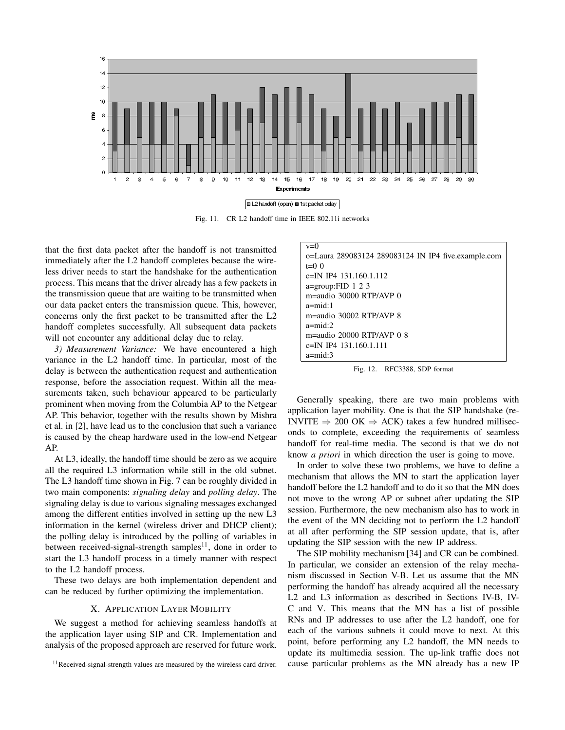

Fig. 11. CR L2 handoff time in IEEE 802.11i networks

that the first data packet after the handoff is not transmitted immediately after the L2 handoff completes because the wireless driver needs to start the handshake for the authentication process. This means that the driver already has a few packets in the transmission queue that are waiting to be transmitted when our data packet enters the transmission queue. This, however, concerns only the first packet to be transmitted after the L2 handoff completes successfully. All subsequent data packets will not encounter any additional delay due to relay.

*3) Measurement Variance:* We have encountered a high variance in the L2 handoff time. In particular, most of the delay is between the authentication request and authentication response, before the association request. Within all the measurements taken, such behaviour appeared to be particularly prominent when moving from the Columbia AP to the Netgear AP. This behavior, together with the results shown by Mishra et al. in [2], have lead us to the conclusion that such a variance is caused by the cheap hardware used in the low-end Netgear AP.

At L3, ideally, the handoff time should be zero as we acquire all the required L3 information while still in the old subnet. The L3 handoff time shown in Fig. 7 can be roughly divided in two main components: *signaling delay* and *polling delay*. The signaling delay is due to various signaling messages exchanged among the different entities involved in setting up the new L3 information in the kernel (wireless driver and DHCP client); the polling delay is introduced by the polling of variables in between received-signal-strength samples<sup>11</sup>, done in order to start the L3 handoff process in a timely manner with respect to the L2 handoff process.

These two delays are both implementation dependent and can be reduced by further optimizing the implementation.

## X. APPLICATION LAYER MOBILITY

We suggest a method for achieving seamless handoffs at the application layer using SIP and CR. Implementation and analysis of the proposed approach are reserved for future work.

| $v=0$                                               |
|-----------------------------------------------------|
| o=Laura 289083124 289083124 IN IP4 five.example.com |
| $t=0$ 0                                             |
| c=IN IP4 131.160.1.112                              |
| a=group:FID $1\ 2\ 3$                               |
| m=audio 30000 RTP/AVP 0                             |
| $a = mid:1$                                         |
| $m =$ audio 30002 RTP/AVP 8                         |
| $a = mid:2$                                         |
| $m =$ audio 20000 RTP/AVP 0.8                       |
| c=IN IP4 131.160.1.111                              |
| $a = mid:3$                                         |
|                                                     |

Fig. 12. RFC3388, SDP format

Generally speaking, there are two main problems with application layer mobility. One is that the SIP handshake (re-INVITE  $\Rightarrow$  200 OK  $\Rightarrow$  ACK) takes a few hundred milliseconds to complete, exceeding the requirements of seamless handoff for real-time media. The second is that we do not know *a priori* in which direction the user is going to move.

In order to solve these two problems, we have to define a mechanism that allows the MN to start the application layer handoff before the L2 handoff and to do it so that the MN does not move to the wrong AP or subnet after updating the SIP session. Furthermore, the new mechanism also has to work in the event of the MN deciding not to perform the L2 handoff at all after performing the SIP session update, that is, after updating the SIP session with the new IP address.

The SIP mobility mechanism [34] and CR can be combined. In particular, we consider an extension of the relay mechanism discussed in Section V-B. Let us assume that the MN performing the handoff has already acquired all the necessary L2 and L3 information as described in Sections IV-B, IV-C and V. This means that the MN has a list of possible RNs and IP addresses to use after the L2 handoff, one for each of the various subnets it could move to next. At this point, before performing any L2 handoff, the MN needs to update its multimedia session. The up-link traffic does not cause particular problems as the MN already has a new IP

 $11$ Received-signal-strength values are measured by the wireless card driver.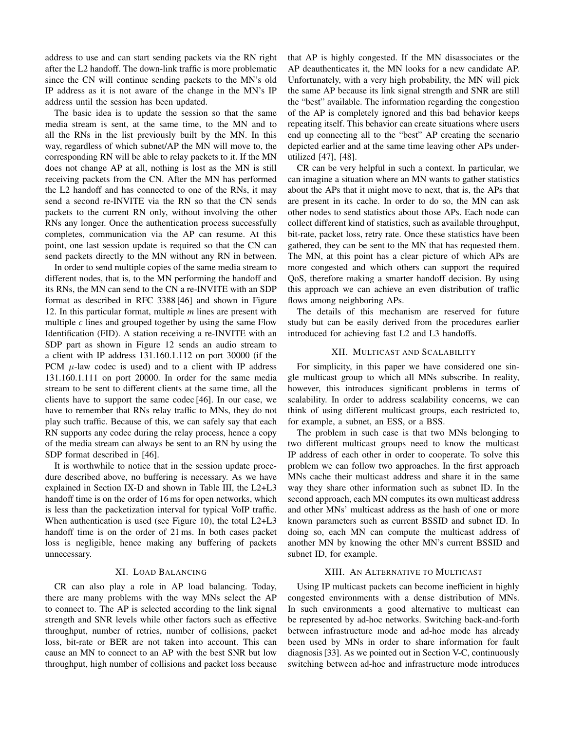address to use and can start sending packets via the RN right after the L2 handoff. The down-link traffic is more problematic since the CN will continue sending packets to the MN's old IP address as it is not aware of the change in the MN's IP address until the session has been updated.

The basic idea is to update the session so that the same media stream is sent, at the same time, to the MN and to all the RNs in the list previously built by the MN. In this way, regardless of which subnet/AP the MN will move to, the corresponding RN will be able to relay packets to it. If the MN does not change AP at all, nothing is lost as the MN is still receiving packets from the CN. After the MN has performed the L2 handoff and has connected to one of the RNs, it may send a second re-INVITE via the RN so that the CN sends packets to the current RN only, without involving the other RNs any longer. Once the authentication process successfully completes, communication via the AP can resume. At this point, one last session update is required so that the CN can send packets directly to the MN without any RN in between.

In order to send multiple copies of the same media stream to different nodes, that is, to the MN performing the handoff and its RNs, the MN can send to the CN a re-INVITE with an SDP format as described in RFC 3388 [46] and shown in Figure 12. In this particular format, multiple *m* lines are present with multiple *c* lines and grouped together by using the same Flow Identification (FID). A station receiving a re-INVITE with an SDP part as shown in Figure 12 sends an audio stream to a client with IP address 131.160.1.112 on port 30000 (if the PCM  $\mu$ -law codec is used) and to a client with IP address 131.160.1.111 on port 20000. In order for the same media stream to be sent to different clients at the same time, all the clients have to support the same codec [46]. In our case, we have to remember that RNs relay traffic to MNs, they do not play such traffic. Because of this, we can safely say that each RN supports any codec during the relay process, hence a copy of the media stream can always be sent to an RN by using the SDP format described in [46].

It is worthwhile to notice that in the session update procedure described above, no buffering is necessary. As we have explained in Section IX-D and shown in Table III, the L2+L3 handoff time is on the order of 16 ms for open networks, which is less than the packetization interval for typical VoIP traffic. When authentication is used (see Figure 10), the total L2+L3 handoff time is on the order of 21 ms. In both cases packet loss is negligible, hence making any buffering of packets unnecessary.

## XI. LOAD BALANCING

CR can also play a role in AP load balancing. Today, there are many problems with the way MNs select the AP to connect to. The AP is selected according to the link signal strength and SNR levels while other factors such as effective throughput, number of retries, number of collisions, packet loss, bit-rate or BER are not taken into account. This can cause an MN to connect to an AP with the best SNR but low throughput, high number of collisions and packet loss because

that AP is highly congested. If the MN disassociates or the AP deauthenticates it, the MN looks for a new candidate AP. Unfortunately, with a very high probability, the MN will pick the same AP because its link signal strength and SNR are still the "best" available. The information regarding the congestion of the AP is completely ignored and this bad behavior keeps repeating itself. This behavior can create situations where users end up connecting all to the "best" AP creating the scenario depicted earlier and at the same time leaving other APs underutilized [47], [48].

CR can be very helpful in such a context. In particular, we can imagine a situation where an MN wants to gather statistics about the APs that it might move to next, that is, the APs that are present in its cache. In order to do so, the MN can ask other nodes to send statistics about those APs. Each node can collect different kind of statistics, such as available throughput, bit-rate, packet loss, retry rate. Once these statistics have been gathered, they can be sent to the MN that has requested them. The MN, at this point has a clear picture of which APs are more congested and which others can support the required QoS, therefore making a smarter handoff decision. By using this approach we can achieve an even distribution of traffic flows among neighboring APs.

The details of this mechanism are reserved for future study but can be easily derived from the procedures earlier introduced for achieving fast L2 and L3 handoffs.

#### XII. MULTICAST AND SCALABILITY

For simplicity, in this paper we have considered one single multicast group to which all MNs subscribe. In reality, however, this introduces significant problems in terms of scalability. In order to address scalability concerns, we can think of using different multicast groups, each restricted to, for example, a subnet, an ESS, or a BSS.

The problem in such case is that two MNs belonging to two different multicast groups need to know the multicast IP address of each other in order to cooperate. To solve this problem we can follow two approaches. In the first approach MNs cache their multicast address and share it in the same way they share other information such as subnet ID. In the second approach, each MN computes its own multicast address and other MNs' multicast address as the hash of one or more known parameters such as current BSSID and subnet ID. In doing so, each MN can compute the multicast address of another MN by knowing the other MN's current BSSID and subnet ID, for example.

## XIII. AN ALTERNATIVE TO MULTICAST

Using IP multicast packets can become inefficient in highly congested environments with a dense distribution of MNs. In such environments a good alternative to multicast can be represented by ad-hoc networks. Switching back-and-forth between infrastructure mode and ad-hoc mode has already been used by MNs in order to share information for fault diagnosis [33]. As we pointed out in Section V-C, continuously switching between ad-hoc and infrastructure mode introduces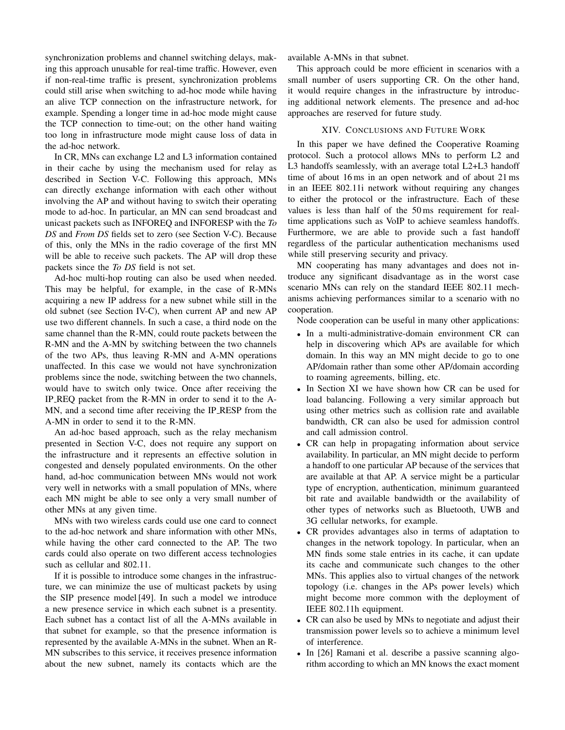synchronization problems and channel switching delays, making this approach unusable for real-time traffic. However, even if non-real-time traffic is present, synchronization problems could still arise when switching to ad-hoc mode while having an alive TCP connection on the infrastructure network, for example. Spending a longer time in ad-hoc mode might cause the TCP connection to time-out; on the other hand waiting too long in infrastructure mode might cause loss of data in the ad-hoc network.

In CR, MNs can exchange L2 and L3 information contained in their cache by using the mechanism used for relay as described in Section V-C. Following this approach, MNs can directly exchange information with each other without involving the AP and without having to switch their operating mode to ad-hoc. In particular, an MN can send broadcast and unicast packets such as INFOREQ and INFORESP with the *To DS* and *From DS* fields set to zero (see Section V-C). Because of this, only the MNs in the radio coverage of the first MN will be able to receive such packets. The AP will drop these packets since the *To DS* field is not set.

Ad-hoc multi-hop routing can also be used when needed. This may be helpful, for example, in the case of R-MNs acquiring a new IP address for a new subnet while still in the old subnet (see Section IV-C), when current AP and new AP use two different channels. In such a case, a third node on the same channel than the R-MN, could route packets between the R-MN and the A-MN by switching between the two channels of the two APs, thus leaving R-MN and A-MN operations unaffected. In this case we would not have synchronization problems since the node, switching between the two channels, would have to switch only twice. Once after receiving the IP REQ packet from the R-MN in order to send it to the A-MN, and a second time after receiving the IP RESP from the A-MN in order to send it to the R-MN.

An ad-hoc based approach, such as the relay mechanism presented in Section V-C, does not require any support on the infrastructure and it represents an effective solution in congested and densely populated environments. On the other hand, ad-hoc communication between MNs would not work very well in networks with a small population of MNs, where each MN might be able to see only a very small number of other MNs at any given time.

MNs with two wireless cards could use one card to connect to the ad-hoc network and share information with other MNs, while having the other card connected to the AP. The two cards could also operate on two different access technologies such as cellular and 802.11.

If it is possible to introduce some changes in the infrastructure, we can minimize the use of multicast packets by using the SIP presence model [49]. In such a model we introduce a new presence service in which each subnet is a presentity. Each subnet has a contact list of all the A-MNs available in that subnet for example, so that the presence information is represented by the available A-MNs in the subnet. When an R-MN subscribes to this service, it receives presence information about the new subnet, namely its contacts which are the available A-MNs in that subnet.

This approach could be more efficient in scenarios with a small number of users supporting CR. On the other hand, it would require changes in the infrastructure by introducing additional network elements. The presence and ad-hoc approaches are reserved for future study.

## XIV. CONCLUSIONS AND FUTURE WORK

In this paper we have defined the Cooperative Roaming protocol. Such a protocol allows MNs to perform L2 and L3 handoffs seamlessly, with an average total L2+L3 handoff time of about 16 ms in an open network and of about 21 ms in an IEEE 802.11i network without requiring any changes to either the protocol or the infrastructure. Each of these values is less than half of the 50 ms requirement for realtime applications such as VoIP to achieve seamless handoffs. Furthermore, we are able to provide such a fast handoff regardless of the particular authentication mechanisms used while still preserving security and privacy.

MN cooperating has many advantages and does not introduce any significant disadvantage as in the worst case scenario MNs can rely on the standard IEEE 802.11 mechanisms achieving performances similar to a scenario with no cooperation.

Node cooperation can be useful in many other applications:

- In a multi-administrative-domain environment CR can help in discovering which APs are available for which domain. In this way an MN might decide to go to one AP/domain rather than some other AP/domain according to roaming agreements, billing, etc.
- In Section XI we have shown how CR can be used for load balancing. Following a very similar approach but using other metrics such as collision rate and available bandwidth, CR can also be used for admission control and call admission control.
- CR can help in propagating information about service availability. In particular, an MN might decide to perform a handoff to one particular AP because of the services that are available at that AP. A service might be a particular type of encryption, authentication, minimum guaranteed bit rate and available bandwidth or the availability of other types of networks such as Bluetooth, UWB and 3G cellular networks, for example.
- CR provides advantages also in terms of adaptation to changes in the network topology. In particular, when an MN finds some stale entries in its cache, it can update its cache and communicate such changes to the other MNs. This applies also to virtual changes of the network topology (i.e. changes in the APs power levels) which might become more common with the deployment of IEEE 802.11h equipment.
- CR can also be used by MNs to negotiate and adjust their transmission power levels so to achieve a minimum level of interference.
- In [26] Ramani et al. describe a passive scanning algorithm according to which an MN knows the exact moment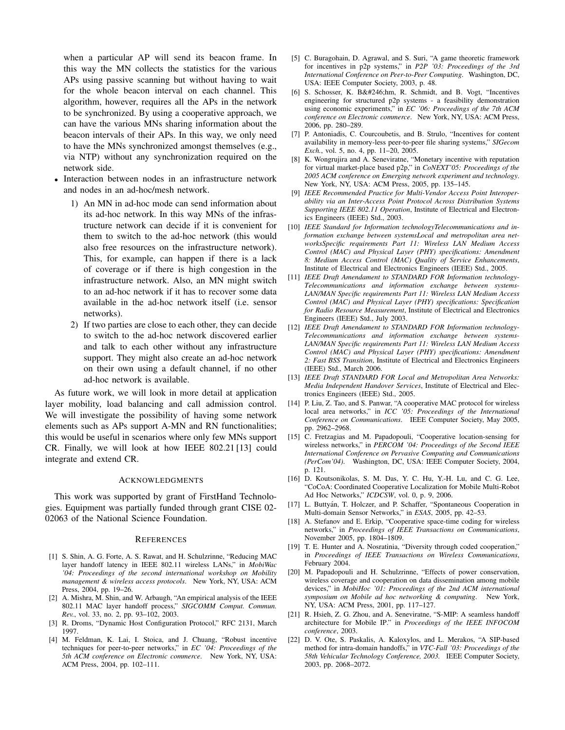when a particular AP will send its beacon frame. In this way the MN collects the statistics for the various APs using passive scanning but without having to wait for the whole beacon interval on each channel. This algorithm, however, requires all the APs in the network to be synchronized. By using a cooperative approach, we can have the various MNs sharing information about the beacon intervals of their APs. In this way, we only need to have the MNs synchronized amongst themselves (e.g., via NTP) without any synchronization required on the network side.

- Interaction between nodes in an infrastructure network and nodes in an ad-hoc/mesh network.
	- 1) An MN in ad-hoc mode can send information about its ad-hoc network. In this way MNs of the infrastructure network can decide if it is convenient for them to switch to the ad-hoc network (this would also free resources on the infrastructure network). This, for example, can happen if there is a lack of coverage or if there is high congestion in the infrastructure network. Also, an MN might switch to an ad-hoc network if it has to recover some data available in the ad-hoc network itself (i.e. sensor networks).
	- 2) If two parties are close to each other, they can decide to switch to the ad-hoc network discovered earlier and talk to each other without any infrastructure support. They might also create an ad-hoc network on their own using a default channel, if no other ad-hoc network is available.

As future work, we will look in more detail at application layer mobility, load balancing and call admission control. We will investigate the possibility of having some network elements such as APs support A-MN and RN functionalities; this would be useful in scenarios where only few MNs support CR. Finally, we will look at how IEEE 802.21 [13] could integrate and extend CR.

### ACKNOWLEDGMENTS

This work was supported by grant of FirstHand Technologies. Equipment was partially funded through grant CISE 02- 02063 of the National Science Foundation.

#### **REFERENCES**

- [1] S. Shin, A. G. Forte, A. S. Rawat, and H. Schulzrinne, "Reducing MAC layer handoff latency in IEEE 802.11 wireless LANs," in *MobiWac '04: Proceedings of the second international workshop on Mobility management & wireless access protocols*. New York, NY, USA: ACM Press, 2004, pp. 19–26.
- [2] A. Mishra, M. Shin, and W. Arbaugh, "An empirical analysis of the IEEE 802.11 MAC layer handoff process," *SIGCOMM Comput. Commun. Rev.*, vol. 33, no. 2, pp. 93–102, 2003.
- [3] R. Droms, "Dynamic Host Configuration Protocol," RFC 2131, March 1997.
- [4] M. Feldman, K. Lai, I. Stoica, and J. Chuang, "Robust incentive techniques for peer-to-peer networks," in *EC '04: Proceedings of the 5th ACM conference on Electronic commerce*. New York, NY, USA: ACM Press, 2004, pp. 102–111.
- [5] C. Buragohain, D. Agrawal, and S. Suri, "A game theoretic framework for incentives in p2p systems," in *P2P '03: Proceedings of the 3rd International Conference on Peer-to-Peer Computing*. Washington, DC, USA: IEEE Computer Society, 2003, p. 48.
- [6] S. Schosser, K. Böhm, R. Schmidt, and B. Vogt, "Incentives engineering for structured p2p systems - a feasibility demonstration using economic experiments," in *EC '06: Proceedings of the 7th ACM conference on Electronic commerce*. New York, NY, USA: ACM Press, 2006, pp. 280–289.
- [7] P. Antoniadis, C. Courcoubetis, and B. Strulo, "Incentives for content availability in memory-less peer-to-peer file sharing systems," *SIGecom Exch.*, vol. 5, no. 4, pp. 11–20, 2005.
- [8] K. Wongrujira and A. Seneviratne, "Monetary incentive with reputation for virtual market-place based p2p," in *CoNEXT'05: Proceedings of the 2005 ACM conference on Emerging network experiment and technology*. New York, NY, USA: ACM Press, 2005, pp. 135–145.
- [9] *IEEE Recommended Practice for Multi-Vendor Access Point Interoperability via an Inter-Access Point Protocol Across Distribution Systems Supporting IEEE 802.11 Operation*, Institute of Electrical and Electronics Engineers (IEEE) Std., 2003.
- [10] *IEEE Standard for Information technologyTelecommunications and information exchange between systemsLocal and metropolitan area networksSpecific requirements Part 11: Wireless LAN Medium Access Control (MAC) and Physical Layer (PHY) specifications: Amendment 8: Medium Access Control (MAC) Quality of Service Enhancements*, Institute of Electrical and Electronics Engineers (IEEE) Std., 2005.
- [11] *IEEE Draft Amendament to STANDARD FOR Information technology-Telecommunications and information exchange between systems-LAN/MAN Specific requirements Part 11: Wireless LAN Medium Access Control (MAC) and Physical Layer (PHY) specifications: Specification for Radio Resource Measurement*, Institute of Electrical and Electronics Engineers (IEEE) Std., July 2003.
- [12] *IEEE Draft Amendament to STANDARD FOR Information technology-Telecommunications and information exchange between systems-LAN/MAN Specific requirements Part 11: Wireless LAN Medium Access Control (MAC) and Physical Layer (PHY) specifications: Amendment 2: Fast BSS Transition*, Institute of Electrical and Electronics Engineers (IEEE) Std., March 2006.
- [13] *IEEE Draft STANDARD FOR Local and Metropolitan Area Networks: Media Independent Handover Services*, Institute of Electrical and Electronics Engineers (IEEE) Std., 2005.
- [14] P. Liu, Z. Tao, and S. Panwar, "A cooperative MAC protocol for wireless local area networks," in *ICC '05: Proceedings of the International Conference on Communications*. IEEE Computer Society, May 2005, pp. 2962–2968.
- [15] C. Fretzagias and M. Papadopouli, "Cooperative location-sensing for wireless networks," in *PERCOM '04: Proceedings of the Second IEEE International Conference on Pervasive Computing and Communications (PerCom'04)*. Washington, DC, USA: IEEE Computer Society, 2004, p. 121.
- [16] D. Koutsonikolas, S. M. Das, Y. C. Hu, Y.-H. Lu, and C. G. Lee, "CoCoA: Coordinated Cooperative Localization for Mobile Multi-Robot Ad Hoc Networks," *ICDCSW*, vol. 0, p. 9, 2006.
- [17] L. Buttyán, T. Holczer, and P. Schaffer, "Spontaneous Cooperation in Multi-domain Sensor Networks," in *ESAS*, 2005, pp. 42–53.
- [18] A. Stefanov and E. Erkip, "Cooperative space-time coding for wireless networks," in *Proceedings of IEEE Transactions on Communications*, November 2005, pp. 1804–1809.
- [19] T. E. Hunter and A. Nosratinia, "Diversity through coded cooperation," in *Proceedings of IEEE Transactions on Wireless Communications*, February 2004.
- [20] M. Papadopouli and H. Schulzrinne, "Effects of power conservation, wireless coverage and cooperation on data dissemination among mobile devices," in *MobiHoc '01: Proceedings of the 2nd ACM international symposium on Mobile ad hoc networking & computing*. New York, NY, USA: ACM Press, 2001, pp. 117–127.
- [21] R. Hsieh, Z. G. Zhou, and A. Seneviratne, "S-MIP: A seamless handoff architecture for Mobile IP." in *Proceedings of the IEEE INFOCOM conference*, 2003.
- [22] D. V. Ote, S. Paskalis, A. Kaloxylos, and L. Merakos, "A SIP-based method for intra-domain handoffs," in *VTC-Fall '03: Proceedings of the 58th Vehicular Technology Conference, 2003.* IEEE Computer Society, 2003, pp. 2068–2072.